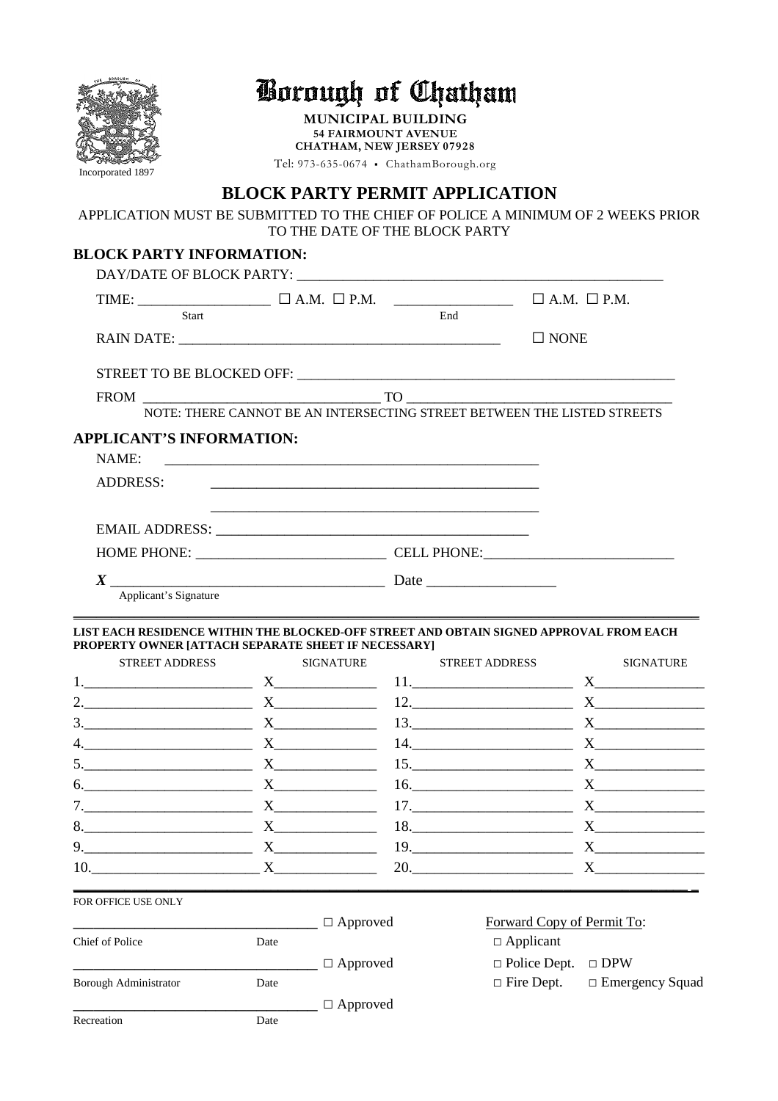| QUGH              |
|-------------------|
|                   |
|                   |
|                   |
|                   |
|                   |
|                   |
| Incorporated 1897 |

## Borough of Chatham

**MUNICIPAL BUILDING 54 FAIRMOUNT AVENUE CHATHAM, NEW JERSEY 07928** Tel: 973-635-0674 ▪ ChathamBorough.org

## **BLOCK PARTY PERMIT APPLICATION**

APPLICATION MUST BE SUBMITTED TO THE CHIEF OF POLICE A MINIMUM OF 2 WEEKS PRIOR TO THE DATE OF THE BLOCK PARTY

## **BLOCK PARTY INFORMATION:**

| $\begin{tabular}{lllll} TIME: & $\hspace{6.5mm} $\hspace{6.5mm}$ {\color{red}C} $\hspace{6.5mm}$ {\color{green}A.M.} $\hspace{6.5mm}$ & $\hspace{6.5mm} $\hspace{6.5mm}$ & $\hspace{6.5mm} $\hspace{6.5mm}$ & $\hspace{6.5mm} $\hspace{6.5mm}$ & $\hspace{6.5mm} $\hspace{6.5mm}$ & $\hspace{6.5mm} $\hspace{6.5mm}$ & $\hspace{6.5mm} $\hspace{6.5mm}$ & $\hspace{6.5mm} $\hspace{6.5mm}$ & $\hspace{6.5mm} $\hspace{6.5mm}$ & $\hs$<br>Start |      |                          | End |                                                                         |                           |
|------------------------------------------------------------------------------------------------------------------------------------------------------------------------------------------------------------------------------------------------------------------------------------------------------------------------------------------------------------------------------------------------------------------------------------------------|------|--------------------------|-----|-------------------------------------------------------------------------|---------------------------|
|                                                                                                                                                                                                                                                                                                                                                                                                                                                |      |                          |     |                                                                         |                           |
|                                                                                                                                                                                                                                                                                                                                                                                                                                                |      |                          |     | $\Box$ NONE                                                             |                           |
|                                                                                                                                                                                                                                                                                                                                                                                                                                                |      |                          |     |                                                                         |                           |
|                                                                                                                                                                                                                                                                                                                                                                                                                                                |      |                          |     |                                                                         |                           |
|                                                                                                                                                                                                                                                                                                                                                                                                                                                |      |                          |     | NOTE: THERE CANNOT BE AN INTERSECTING STREET BETWEEN THE LISTED STREETS |                           |
| <b>APPLICANT'S INFORMATION:</b><br>NAME:                                                                                                                                                                                                                                                                                                                                                                                                       |      |                          |     |                                                                         |                           |
| ADDRESS:                                                                                                                                                                                                                                                                                                                                                                                                                                       |      |                          |     |                                                                         |                           |
|                                                                                                                                                                                                                                                                                                                                                                                                                                                |      |                          |     |                                                                         |                           |
|                                                                                                                                                                                                                                                                                                                                                                                                                                                |      |                          |     |                                                                         |                           |
|                                                                                                                                                                                                                                                                                                                                                                                                                                                |      |                          |     |                                                                         |                           |
| $\boldsymbol{X}$                                                                                                                                                                                                                                                                                                                                                                                                                               |      |                          |     |                                                                         |                           |
| Applicant's Signature                                                                                                                                                                                                                                                                                                                                                                                                                          |      |                          |     |                                                                         |                           |
| 1. $X_1$ $X_2$ $X_3$ $X_4$ $X_5$ $X_6$ $X_7$ $X_8$ $X_9$ $X_1$ $X_2$ $X_3$ $X_4$ $X_5$ $X_6$ $X_7$ $X_8$ $X_9$ $X_1$ $X_2$ $X_3$ $X_4$ $X_5$ $X_6$ $X_7$ $X_8$ $X_9$ $X_1$ $X_2$ $X_3$ $X_4$ $X_5$ $X_6$ $X_7$ $X_8$ $X_9$ $X$                                                                                                                                                                                                                 |      |                          |     |                                                                         |                           |
| 2. $X$ X $X$ 12. $X$ X                                                                                                                                                                                                                                                                                                                                                                                                                         |      |                          |     |                                                                         |                           |
|                                                                                                                                                                                                                                                                                                                                                                                                                                                |      |                          |     |                                                                         |                           |
| 4. $X_1$ $X_2$ $X_3$ $X_4$ $X_5$ $X_6$ $X_7$ $X_8$ $X_9$ $X_1$ $X_2$ $X_3$ $X_4$ $X_5$ $X_6$ $X_7$ $X_8$ $X_9$ $X_1$ $X_2$ $X_3$ $X_4$ $X_5$ $X_6$ $X_7$ $X_8$ $X_9$ $X_1$ $X_2$ $X_3$ $X_4$ $X_5$ $X_6$ $X_7$ $X_8$ $X_9$ $X$                                                                                                                                                                                                                 |      |                          |     |                                                                         |                           |
|                                                                                                                                                                                                                                                                                                                                                                                                                                                |      |                          |     |                                                                         |                           |
|                                                                                                                                                                                                                                                                                                                                                                                                                                                |      |                          |     |                                                                         |                           |
|                                                                                                                                                                                                                                                                                                                                                                                                                                                |      |                          |     |                                                                         |                           |
|                                                                                                                                                                                                                                                                                                                                                                                                                                                |      |                          |     |                                                                         |                           |
| 9. $X$                                                                                                                                                                                                                                                                                                                                                                                                                                         |      |                          |     |                                                                         |                           |
| 10.                                                                                                                                                                                                                                                                                                                                                                                                                                            |      | $X \qquad \qquad \qquad$ |     | 20.                                                                     | $\boldsymbol{\mathrm{X}}$ |
| FOR OFFICE USE ONLY                                                                                                                                                                                                                                                                                                                                                                                                                            |      |                          |     |                                                                         |                           |
|                                                                                                                                                                                                                                                                                                                                                                                                                                                |      | $\Box$ Approved          |     | Forward Copy of Permit To:                                              |                           |
| Chief of Police                                                                                                                                                                                                                                                                                                                                                                                                                                | Date |                          |     | $\Box$ Applicant                                                        |                           |
|                                                                                                                                                                                                                                                                                                                                                                                                                                                |      | $\Box$ Approved          |     | $\Box$ Police Dept.                                                     | $\Box$ DPW                |
| <b>Borough Administrator</b>                                                                                                                                                                                                                                                                                                                                                                                                                   | Date |                          |     | $\Box$ Fire Dept.                                                       | $\Box$ Emergency Squad    |
|                                                                                                                                                                                                                                                                                                                                                                                                                                                |      | $\Box$ Approved          |     |                                                                         |                           |
| Recreation                                                                                                                                                                                                                                                                                                                                                                                                                                     | Date |                          |     |                                                                         |                           |